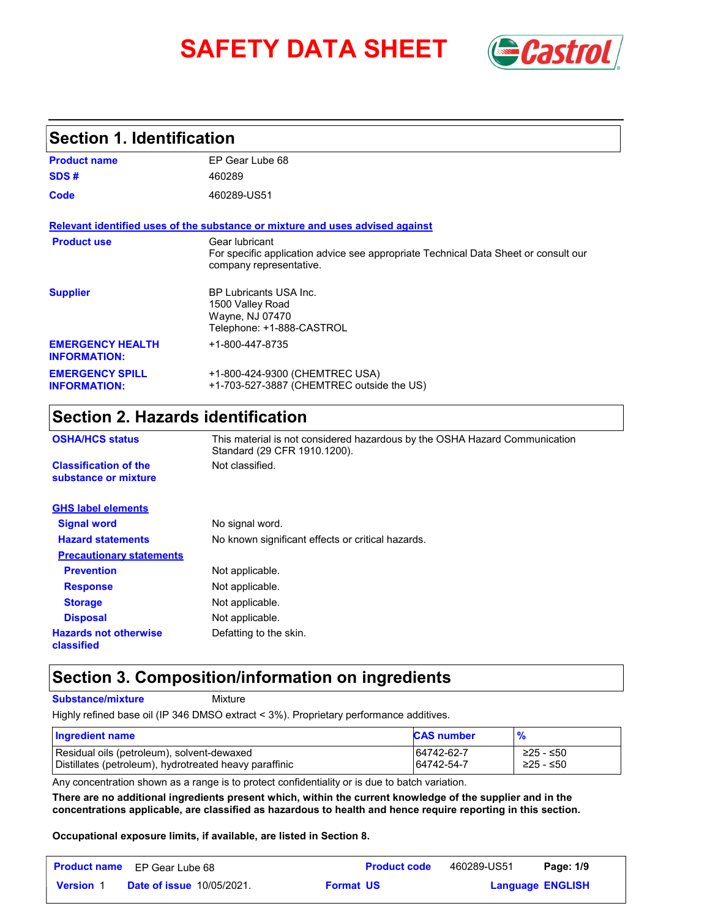# **SAFETY DATA SHEET** *Castrol*



### **Section 1. Identification**

| <b>Product name</b>                            | EP Gear Lube 68                                                                                                                  |
|------------------------------------------------|----------------------------------------------------------------------------------------------------------------------------------|
| SDS#                                           | 460289                                                                                                                           |
| Code                                           | 460289-US51                                                                                                                      |
|                                                | Relevant identified uses of the substance or mixture and uses advised against                                                    |
| <b>Product use</b>                             | Gear lubricant<br>For specific application advice see appropriate Technical Data Sheet or consult our<br>company representative. |
| <b>Supplier</b>                                | BP Lubricants USA Inc.<br>1500 Valley Road<br>Wayne, NJ 07470<br>Telephone: +1-888-CASTROL                                       |
| <b>EMERGENCY HEALTH</b><br><b>INFORMATION:</b> | +1-800-447-8735                                                                                                                  |
| <b>EMERGENCY SPILL</b><br><b>INFORMATION:</b>  | +1-800-424-9300 (CHEMTREC USA)<br>+1-703-527-3887 (CHEMTREC outside the US)                                                      |

## **Section 2. Hazards identification**

| <b>OSHA/HCS status</b>                               | This material is not considered hazardous by the OSHA Hazard Communication<br>Standard (29 CFR 1910.1200). |  |
|------------------------------------------------------|------------------------------------------------------------------------------------------------------------|--|
| <b>Classification of the</b><br>substance or mixture | Not classified.                                                                                            |  |
| <b>GHS label elements</b>                            |                                                                                                            |  |
| <b>Signal word</b>                                   | No signal word.                                                                                            |  |
| <b>Hazard statements</b>                             | No known significant effects or critical hazards.                                                          |  |
| <b>Precautionary statements</b>                      |                                                                                                            |  |
| <b>Prevention</b>                                    | Not applicable.                                                                                            |  |
| <b>Response</b>                                      | Not applicable.                                                                                            |  |
| <b>Storage</b>                                       | Not applicable.                                                                                            |  |
| <b>Disposal</b>                                      | Not applicable.                                                                                            |  |
| <b>Hazards not otherwise</b><br>classified           | Defatting to the skin.                                                                                     |  |

## **Section 3. Composition/information on ingredients**

**Substance/mixture**

Mixture

Highly refined base oil (IP 346 DMSO extract < 3%). Proprietary performance additives.

| Ingredient name                                        | <b>CAS number</b> | $\frac{9}{6}$ |
|--------------------------------------------------------|-------------------|---------------|
| Residual oils (petroleum), solvent-dewaxed             | 64742-62-7        | ≥25 - ≤50     |
| Distillates (petroleum), hydrotreated heavy paraffinic | 64742-54-7        | ≥25 - ≤50     |

Any concentration shown as a range is to protect confidentiality or is due to batch variation.

**There are no additional ingredients present which, within the current knowledge of the supplier and in the concentrations applicable, are classified as hazardous to health and hence require reporting in this section.**

**Occupational exposure limits, if available, are listed in Section 8.**

|                  | <b>Product name</b> EP Gear Lube 68 |                  | <b>Product code</b> | 460289-US51 | Page: 1/9               |  |
|------------------|-------------------------------------|------------------|---------------------|-------------|-------------------------|--|
| <b>Version 1</b> | <b>Date of issue 10/05/2021.</b>    | <b>Format US</b> |                     |             | <b>Language ENGLISH</b> |  |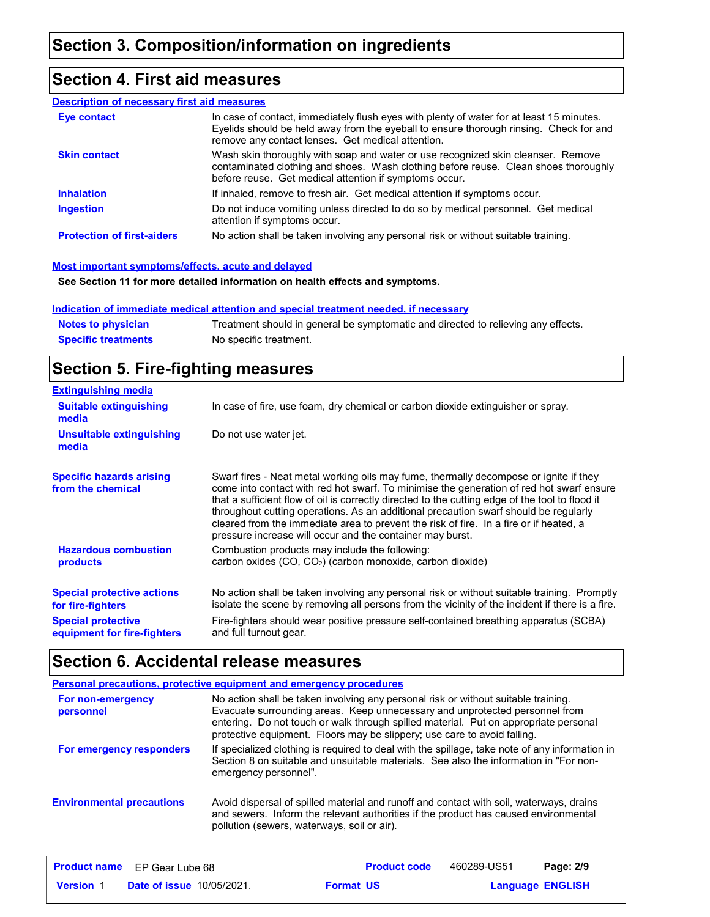## **Section 4. First aid measures**

#### **Description of necessary first aid measures**

| Eye contact                       | In case of contact, immediately flush eyes with plenty of water for at least 15 minutes.<br>Eyelids should be held away from the eyeball to ensure thorough rinsing. Check for and<br>remove any contact lenses. Get medical attention. |
|-----------------------------------|-----------------------------------------------------------------------------------------------------------------------------------------------------------------------------------------------------------------------------------------|
| <b>Skin contact</b>               | Wash skin thoroughly with soap and water or use recognized skin cleanser. Remove<br>contaminated clothing and shoes. Wash clothing before reuse. Clean shoes thoroughly<br>before reuse. Get medical attention if symptoms occur.       |
| <b>Inhalation</b>                 | If inhaled, remove to fresh air. Get medical attention if symptoms occur.                                                                                                                                                               |
| <b>Ingestion</b>                  | Do not induce vomiting unless directed to do so by medical personnel. Get medical<br>attention if symptoms occur.                                                                                                                       |
| <b>Protection of first-aiders</b> | No action shall be taken involving any personal risk or without suitable training.                                                                                                                                                      |

#### **Most important symptoms/effects, acute and delayed**

**See Section 11 for more detailed information on health effects and symptoms.**

#### **Indication of immediate medical attention and special treatment needed, if necessary**

| <b>Notes to physician</b>  | Treatment should in general be symptomatic and directed to relieving any effects. |
|----------------------------|-----------------------------------------------------------------------------------|
| <b>Specific treatments</b> | No specific treatment.                                                            |

## **Section 5. Fire-fighting measures**

| <b>Extinguishing media</b>                               |                                                                                                                                                                                                                                                                                                                                                                                                                                                                                                                                     |
|----------------------------------------------------------|-------------------------------------------------------------------------------------------------------------------------------------------------------------------------------------------------------------------------------------------------------------------------------------------------------------------------------------------------------------------------------------------------------------------------------------------------------------------------------------------------------------------------------------|
| <b>Suitable extinguishing</b><br>media                   | In case of fire, use foam, dry chemical or carbon dioxide extinguisher or spray.                                                                                                                                                                                                                                                                                                                                                                                                                                                    |
| <b>Unsuitable extinguishing</b><br>media                 | Do not use water jet.                                                                                                                                                                                                                                                                                                                                                                                                                                                                                                               |
| <b>Specific hazards arising</b><br>from the chemical     | Swarf fires - Neat metal working oils may fume, thermally decompose or ignite if they<br>come into contact with red hot swarf. To minimise the generation of red hot swarf ensure<br>that a sufficient flow of oil is correctly directed to the cutting edge of the tool to flood it<br>throughout cutting operations. As an additional precaution swarf should be regularly<br>cleared from the immediate area to prevent the risk of fire. In a fire or if heated, a<br>pressure increase will occur and the container may burst. |
| <b>Hazardous combustion</b><br><b>products</b>           | Combustion products may include the following:<br>carbon oxides (CO, CO <sub>2</sub> ) (carbon monoxide, carbon dioxide)                                                                                                                                                                                                                                                                                                                                                                                                            |
| <b>Special protective actions</b><br>for fire-fighters   | No action shall be taken involving any personal risk or without suitable training. Promptly<br>isolate the scene by removing all persons from the vicinity of the incident if there is a fire.                                                                                                                                                                                                                                                                                                                                      |
| <b>Special protective</b><br>equipment for fire-fighters | Fire-fighters should wear positive pressure self-contained breathing apparatus (SCBA)<br>and full turnout gear.                                                                                                                                                                                                                                                                                                                                                                                                                     |

## **Section 6. Accidental release measures**

|                                  | Personal precautions, protective equipment and emergency procedures                                                                                                                                                                                                                                                                   |
|----------------------------------|---------------------------------------------------------------------------------------------------------------------------------------------------------------------------------------------------------------------------------------------------------------------------------------------------------------------------------------|
| For non-emergency<br>personnel   | No action shall be taken involving any personal risk or without suitable training.<br>Evacuate surrounding areas. Keep unnecessary and unprotected personnel from<br>entering. Do not touch or walk through spilled material. Put on appropriate personal<br>protective equipment. Floors may be slippery; use care to avoid falling. |
| For emergency responders         | If specialized clothing is required to deal with the spillage, take note of any information in<br>Section 8 on suitable and unsuitable materials. See also the information in "For non-<br>emergency personnel".                                                                                                                      |
| <b>Environmental precautions</b> | Avoid dispersal of spilled material and runoff and contact with soil, waterways, drains<br>and sewers. Inform the relevant authorities if the product has caused environmental<br>pollution (sewers, waterways, soil or air).                                                                                                         |

|                  | <b>Product name</b> EP Gear Lube 68 |                  | <b>Product code</b> | 460289-US51             | Page: 2/9 |
|------------------|-------------------------------------|------------------|---------------------|-------------------------|-----------|
| <b>Version 1</b> | <b>Date of issue 10/05/2021.</b>    | <b>Format US</b> |                     | <b>Language ENGLISH</b> |           |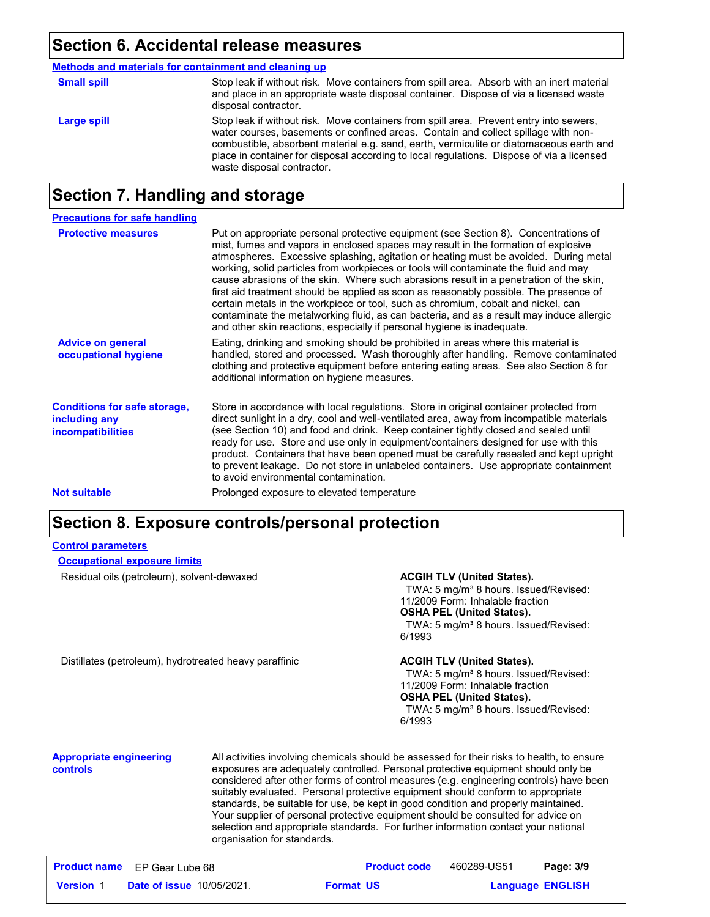### **Section 6. Accidental release measures**

|  | Methods and materials for containment and cleaning up |  |
|--|-------------------------------------------------------|--|
|  |                                                       |  |

| <b>Small spill</b> | Stop leak if without risk. Move containers from spill area. Absorb with an inert material<br>and place in an appropriate waste disposal container. Dispose of via a licensed waste<br>disposal contractor.                                                                                                                                                                                         |
|--------------------|----------------------------------------------------------------------------------------------------------------------------------------------------------------------------------------------------------------------------------------------------------------------------------------------------------------------------------------------------------------------------------------------------|
| Large spill        | Stop leak if without risk. Move containers from spill area. Prevent entry into sewers,<br>water courses, basements or confined areas. Contain and collect spillage with non-<br>combustible, absorbent material e.g. sand, earth, vermiculite or diatomaceous earth and<br>place in container for disposal according to local regulations. Dispose of via a licensed<br>waste disposal contractor. |

## **Section 7. Handling and storage**

| <b>Precautions for safe handling</b>                                             |                                                                                                                                                                                                                                                                                                                                                                                                                                                                                                                                                                                                                                                                                                                                                                                                          |
|----------------------------------------------------------------------------------|----------------------------------------------------------------------------------------------------------------------------------------------------------------------------------------------------------------------------------------------------------------------------------------------------------------------------------------------------------------------------------------------------------------------------------------------------------------------------------------------------------------------------------------------------------------------------------------------------------------------------------------------------------------------------------------------------------------------------------------------------------------------------------------------------------|
| <b>Protective measures</b>                                                       | Put on appropriate personal protective equipment (see Section 8). Concentrations of<br>mist, fumes and vapors in enclosed spaces may result in the formation of explosive<br>atmospheres. Excessive splashing, agitation or heating must be avoided. During metal<br>working, solid particles from workpieces or tools will contaminate the fluid and may<br>cause abrasions of the skin. Where such abrasions result in a penetration of the skin,<br>first aid treatment should be applied as soon as reasonably possible. The presence of<br>certain metals in the workpiece or tool, such as chromium, cobalt and nickel, can<br>contaminate the metalworking fluid, as can bacteria, and as a result may induce allergic<br>and other skin reactions, especially if personal hygiene is inadequate. |
| <b>Advice on general</b><br>occupational hygiene                                 | Eating, drinking and smoking should be prohibited in areas where this material is<br>handled, stored and processed. Wash thoroughly after handling. Remove contaminated<br>clothing and protective equipment before entering eating areas. See also Section 8 for<br>additional information on hygiene measures.                                                                                                                                                                                                                                                                                                                                                                                                                                                                                         |
| <b>Conditions for safe storage,</b><br>including any<br><b>incompatibilities</b> | Store in accordance with local regulations. Store in original container protected from<br>direct sunlight in a dry, cool and well-ventilated area, away from incompatible materials<br>(see Section 10) and food and drink. Keep container tightly closed and sealed until<br>ready for use. Store and use only in equipment/containers designed for use with this<br>product. Containers that have been opened must be carefully resealed and kept upright<br>to prevent leakage. Do not store in unlabeled containers. Use appropriate containment<br>to avoid environmental contamination.                                                                                                                                                                                                            |
| <b>Not suitable</b>                                                              | Prolonged exposure to elevated temperature                                                                                                                                                                                                                                                                                                                                                                                                                                                                                                                                                                                                                                                                                                                                                               |

### **Section 8. Exposure controls/personal protection**

#### Residual oils (petroleum), solvent-dewaxed **ACGIH TLV (United States).** TWA: 5 mg/m<sup>3</sup> 8 hours. Issued/Revised: 11/2009 Form: Inhalable fraction **OSHA PEL (United States).** TWA: 5 mg/m<sup>3</sup> 8 hours. Issued/Revised: 6/1993 Distillates (petroleum), hydrotreated heavy paraffinic **ACGIH TLV (United States).** TWA: 5 mg/m<sup>3</sup> 8 hours. Issued/Revised: 11/2009 Form: Inhalable fraction **OSHA PEL (United States).** TWA: 5 mg/m<sup>3</sup> 8 hours. Issued/Revised: 6/1993 **Appropriate engineering controls** All activities involving chemicals should be assessed for their risks to health, to ensure exposures are adequately controlled. Personal protective equipment should only be considered after other forms of control measures (e.g. engineering controls) have been suitably evaluated. Personal protective equipment should conform to appropriate standards, be suitable for use, be kept in good condition and properly maintained. Your supplier of personal protective equipment should be consulted for advice on selection and appropriate standards. For further information contact your national organisation for standards. **Control parameters Occupational exposure limits**

|                  | <b>Product name</b> EP Gear Lube 68 |                  | <b>Product code</b> | 460289-US51 | Page: 3/9               |
|------------------|-------------------------------------|------------------|---------------------|-------------|-------------------------|
| <b>Version 1</b> | <b>Date of issue 10/05/2021.</b>    | <b>Format US</b> |                     |             | <b>Language ENGLISH</b> |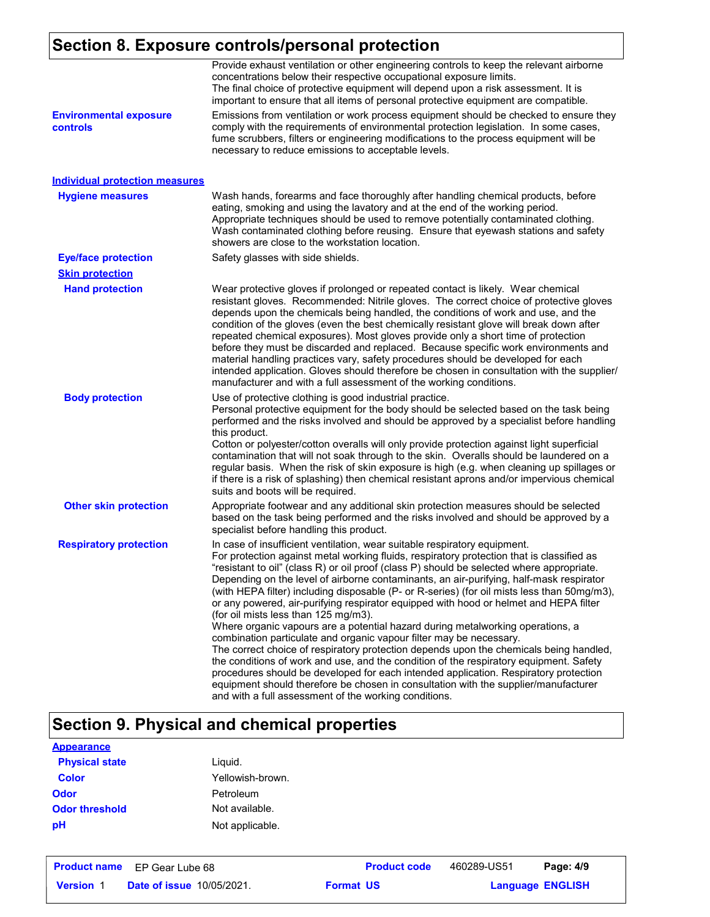## **Section 8. Exposure controls/personal protection**

|                                           | Provide exhaust ventilation or other engineering controls to keep the relevant airborne<br>concentrations below their respective occupational exposure limits.<br>The final choice of protective equipment will depend upon a risk assessment. It is<br>important to ensure that all items of personal protective equipment are compatible.                                                                                                                                                                                                                                                                                                                                                                                                                                                                                                                                                                                                                                                                                                                                                                                                                                         |
|-------------------------------------------|-------------------------------------------------------------------------------------------------------------------------------------------------------------------------------------------------------------------------------------------------------------------------------------------------------------------------------------------------------------------------------------------------------------------------------------------------------------------------------------------------------------------------------------------------------------------------------------------------------------------------------------------------------------------------------------------------------------------------------------------------------------------------------------------------------------------------------------------------------------------------------------------------------------------------------------------------------------------------------------------------------------------------------------------------------------------------------------------------------------------------------------------------------------------------------------|
| <b>Environmental exposure</b><br>controls | Emissions from ventilation or work process equipment should be checked to ensure they<br>comply with the requirements of environmental protection legislation. In some cases,<br>fume scrubbers, filters or engineering modifications to the process equipment will be<br>necessary to reduce emissions to acceptable levels.                                                                                                                                                                                                                                                                                                                                                                                                                                                                                                                                                                                                                                                                                                                                                                                                                                                       |
| <b>Individual protection measures</b>     |                                                                                                                                                                                                                                                                                                                                                                                                                                                                                                                                                                                                                                                                                                                                                                                                                                                                                                                                                                                                                                                                                                                                                                                     |
| <b>Hygiene measures</b>                   | Wash hands, forearms and face thoroughly after handling chemical products, before<br>eating, smoking and using the lavatory and at the end of the working period.<br>Appropriate techniques should be used to remove potentially contaminated clothing.<br>Wash contaminated clothing before reusing. Ensure that eyewash stations and safety<br>showers are close to the workstation location.                                                                                                                                                                                                                                                                                                                                                                                                                                                                                                                                                                                                                                                                                                                                                                                     |
| <b>Eye/face protection</b>                | Safety glasses with side shields.                                                                                                                                                                                                                                                                                                                                                                                                                                                                                                                                                                                                                                                                                                                                                                                                                                                                                                                                                                                                                                                                                                                                                   |
| <b>Skin protection</b>                    |                                                                                                                                                                                                                                                                                                                                                                                                                                                                                                                                                                                                                                                                                                                                                                                                                                                                                                                                                                                                                                                                                                                                                                                     |
| <b>Hand protection</b>                    | Wear protective gloves if prolonged or repeated contact is likely. Wear chemical<br>resistant gloves. Recommended: Nitrile gloves. The correct choice of protective gloves<br>depends upon the chemicals being handled, the conditions of work and use, and the<br>condition of the gloves (even the best chemically resistant glove will break down after<br>repeated chemical exposures). Most gloves provide only a short time of protection<br>before they must be discarded and replaced. Because specific work environments and<br>material handling practices vary, safety procedures should be developed for each<br>intended application. Gloves should therefore be chosen in consultation with the supplier/<br>manufacturer and with a full assessment of the working conditions.                                                                                                                                                                                                                                                                                                                                                                                       |
| <b>Body protection</b>                    | Use of protective clothing is good industrial practice.<br>Personal protective equipment for the body should be selected based on the task being<br>performed and the risks involved and should be approved by a specialist before handling<br>this product.<br>Cotton or polyester/cotton overalls will only provide protection against light superficial<br>contamination that will not soak through to the skin. Overalls should be laundered on a<br>regular basis. When the risk of skin exposure is high (e.g. when cleaning up spillages or<br>if there is a risk of splashing) then chemical resistant aprons and/or impervious chemical<br>suits and boots will be required.                                                                                                                                                                                                                                                                                                                                                                                                                                                                                               |
| <b>Other skin protection</b>              | Appropriate footwear and any additional skin protection measures should be selected<br>based on the task being performed and the risks involved and should be approved by a<br>specialist before handling this product.                                                                                                                                                                                                                                                                                                                                                                                                                                                                                                                                                                                                                                                                                                                                                                                                                                                                                                                                                             |
| <b>Respiratory protection</b>             | In case of insufficient ventilation, wear suitable respiratory equipment.<br>For protection against metal working fluids, respiratory protection that is classified as<br>"resistant to oil" (class R) or oil proof (class P) should be selected where appropriate.<br>Depending on the level of airborne contaminants, an air-purifying, half-mask respirator<br>(with HEPA filter) including disposable (P- or R-series) (for oil mists less than 50mg/m3),<br>or any powered, air-purifying respirator equipped with hood or helmet and HEPA filter<br>(for oil mists less than 125 mg/m3).<br>Where organic vapours are a potential hazard during metalworking operations, a<br>combination particulate and organic vapour filter may be necessary.<br>The correct choice of respiratory protection depends upon the chemicals being handled,<br>the conditions of work and use, and the condition of the respiratory equipment. Safety<br>procedures should be developed for each intended application. Respiratory protection<br>equipment should therefore be chosen in consultation with the supplier/manufacturer<br>and with a full assessment of the working conditions. |

## **Section 9. Physical and chemical properties**

| <b>Appearance</b>     |                  |
|-----------------------|------------------|
| <b>Physical state</b> | Liguid.          |
| <b>Color</b>          | Yellowish-brown. |
| <b>Odor</b>           | Petroleum        |
| <b>Odor threshold</b> | Not available.   |
| рH                    | Not applicable.  |

|                  | <b>Product name</b> EP Gear Lube 68 | <b>Product code</b> | 460289-US51 | Page: 4/9               |  |
|------------------|-------------------------------------|---------------------|-------------|-------------------------|--|
| <b>Version 1</b> | <b>Date of issue 10/05/2021.</b>    | <b>Format US</b>    |             | <b>Language ENGLISH</b> |  |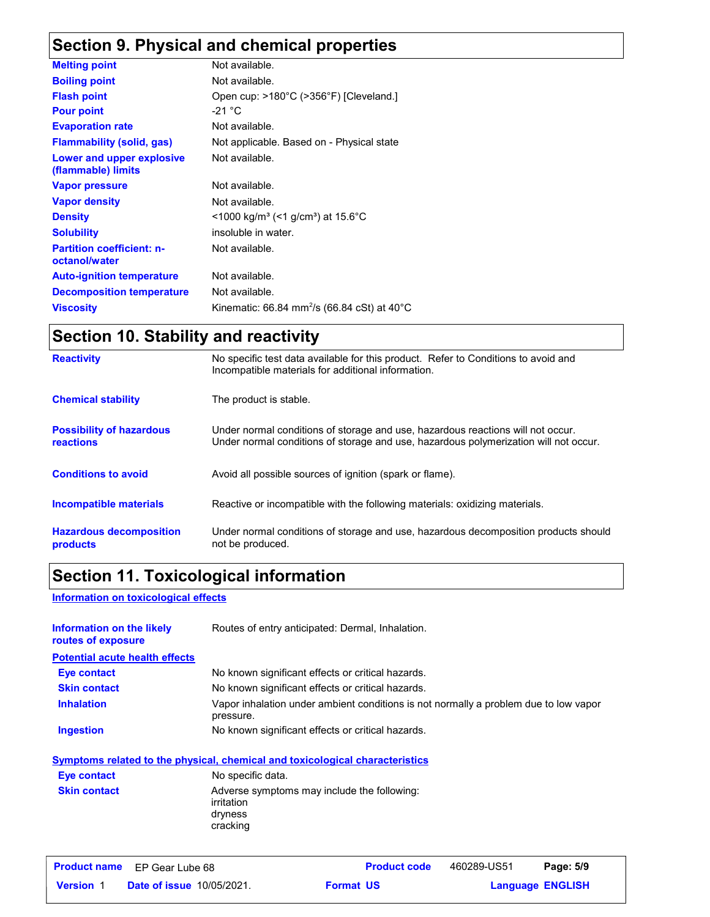## **Section 9. Physical and chemical properties**

| Not available.                                                     |
|--------------------------------------------------------------------|
| Not available.                                                     |
| Open cup: >180°C (>356°F) [Cleveland.]                             |
| -21 $^{\circ}$ C                                                   |
| Not available.                                                     |
| Not applicable. Based on - Physical state                          |
| Not available.                                                     |
| Not available.                                                     |
| Not available.                                                     |
| $\leq$ 1000 kg/m <sup>3</sup> (<1 g/cm <sup>3</sup> ) at 15.6 °C   |
| insoluble in water.                                                |
| Not available.                                                     |
| Not available.                                                     |
| Not available.                                                     |
| Kinematic: 66.84 mm <sup>2</sup> /s (66.84 cSt) at 40 $^{\circ}$ C |
|                                                                    |

## **Section 10. Stability and reactivity**

| <b>Reactivity</b>                                   | No specific test data available for this product. Refer to Conditions to avoid and<br>Incompatible materials for additional information.                                |
|-----------------------------------------------------|-------------------------------------------------------------------------------------------------------------------------------------------------------------------------|
| <b>Chemical stability</b>                           | The product is stable.                                                                                                                                                  |
| <b>Possibility of hazardous</b><br><b>reactions</b> | Under normal conditions of storage and use, hazardous reactions will not occur.<br>Under normal conditions of storage and use, hazardous polymerization will not occur. |
| <b>Conditions to avoid</b>                          | Avoid all possible sources of ignition (spark or flame).                                                                                                                |
| <b>Incompatible materials</b>                       | Reactive or incompatible with the following materials: oxidizing materials.                                                                                             |
| <b>Hazardous decomposition</b><br>products          | Under normal conditions of storage and use, hazardous decomposition products should<br>not be produced.                                                                 |

## **Section 11. Toxicological information**

#### **Information on toxicological effects**

| Information on the likely<br>routes of exposure | Routes of entry anticipated: Dermal, Inhalation.                                                  |
|-------------------------------------------------|---------------------------------------------------------------------------------------------------|
| <b>Potential acute health effects</b>           |                                                                                                   |
| <b>Eye contact</b>                              | No known significant effects or critical hazards.                                                 |
| <b>Skin contact</b>                             | No known significant effects or critical hazards.                                                 |
| <b>Inhalation</b>                               | Vapor inhalation under ambient conditions is not normally a problem due to low vapor<br>pressure. |
| <b>Ingestion</b>                                | No known significant effects or critical hazards.                                                 |
|                                                 | Symptoms related to the physical, chemical and toxicological characteristics                      |

|                     | <u>a liikaania talvisaa ia mia kitä kitäviän allannian ania liiki talvialaisalaan allan valantaan al</u> |
|---------------------|----------------------------------------------------------------------------------------------------------|
| Eye contact         | No specific data.                                                                                        |
| <b>Skin contact</b> | Adverse symptoms may include the following:<br>irritation<br>dryness<br>cracking                         |

|                  | <b>Product name</b> EP Gear Lube 68 | <b>Product code</b> | 460289-US51 | Page: 5/9               |
|------------------|-------------------------------------|---------------------|-------------|-------------------------|
| <b>Version 1</b> | <b>Date of issue 10/05/2021.</b>    | <b>Format US</b>    |             | <b>Language ENGLISH</b> |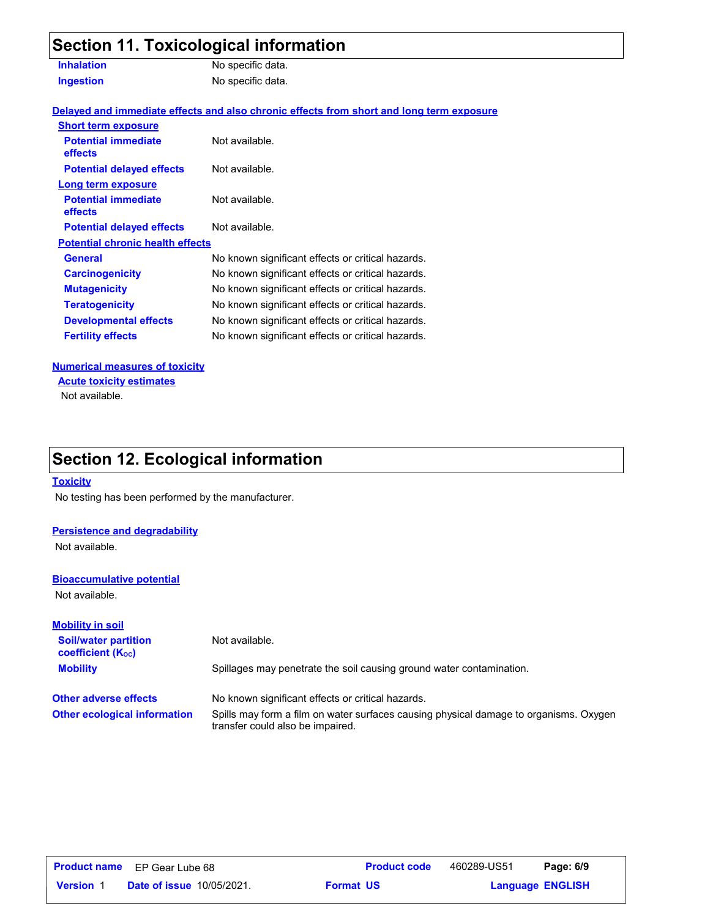## **Section 11. Toxicological information**

| <b>Inhalation</b> | No specific data. |
|-------------------|-------------------|
| <b>Ingestion</b>  | No specific data. |

**Delayed and immediate effects and also chronic effects from short and long term exposure**

| <b>Short term exposure</b>                   |                                                   |
|----------------------------------------------|---------------------------------------------------|
| <b>Potential immediate</b><br><b>effects</b> | Not available.                                    |
| <b>Potential delayed effects</b>             | Not available.                                    |
| Long term exposure                           |                                                   |
| <b>Potential immediate</b><br><b>effects</b> | Not available.                                    |
| <b>Potential delayed effects</b>             | Not available.                                    |
| <b>Potential chronic health effects</b>      |                                                   |
| General                                      | No known significant effects or critical hazards. |
| <b>Carcinogenicity</b>                       | No known significant effects or critical hazards. |
| <b>Mutagenicity</b>                          | No known significant effects or critical hazards. |
| <b>Teratogenicity</b>                        | No known significant effects or critical hazards. |
| <b>Developmental effects</b>                 | No known significant effects or critical hazards. |
| <b>Fertility effects</b>                     | No known significant effects or critical hazards. |
|                                              |                                                   |

#### **Numerical measures of toxicity**

Not available. **Acute toxicity estimates**

## **Section 12. Ecological information**

#### **Toxicity**

No testing has been performed by the manufacturer.

#### **Persistence and degradability**

Not available.

#### **Bioaccumulative potential**

Not available.

| <b>Mobility in soil</b>                                              |                                                                                                                           |
|----------------------------------------------------------------------|---------------------------------------------------------------------------------------------------------------------------|
| <b>Soil/water partition</b><br><b>coefficient</b> (K <sub>oc</sub> ) | Not available.                                                                                                            |
| <b>Mobility</b>                                                      | Spillages may penetrate the soil causing ground water contamination.                                                      |
| <b>Other adverse effects</b>                                         | No known significant effects or critical hazards.                                                                         |
| <b>Other ecological information</b>                                  | Spills may form a film on water surfaces causing physical damage to organisms. Oxygen<br>transfer could also be impaired. |

| <b>Product name</b> | EP Gear Lube 68                  | <b>Product code</b> | 460289-US51             | Page: 6/9 |  |
|---------------------|----------------------------------|---------------------|-------------------------|-----------|--|
| <b>Version</b> 1    | <b>Date of issue 10/05/2021.</b> | <b>Format US</b>    | <b>Language ENGLISH</b> |           |  |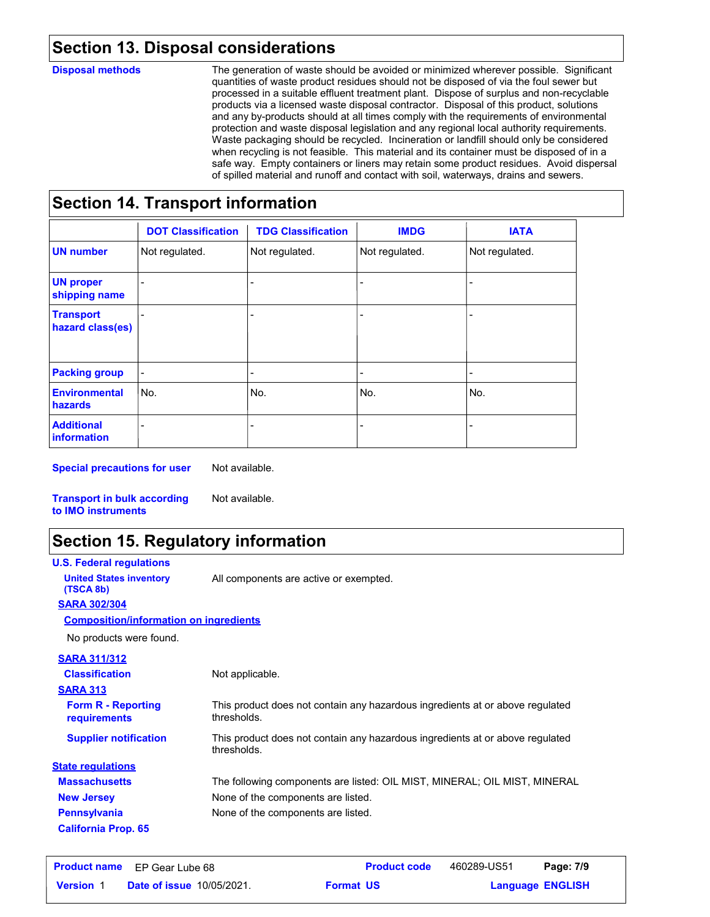### **Section 13. Disposal considerations**

#### **Disposal methods**

The generation of waste should be avoided or minimized wherever possible. Significant quantities of waste product residues should not be disposed of via the foul sewer but processed in a suitable effluent treatment plant. Dispose of surplus and non-recyclable products via a licensed waste disposal contractor. Disposal of this product, solutions and any by-products should at all times comply with the requirements of environmental protection and waste disposal legislation and any regional local authority requirements. Waste packaging should be recycled. Incineration or landfill should only be considered when recycling is not feasible. This material and its container must be disposed of in a safe way. Empty containers or liners may retain some product residues. Avoid dispersal of spilled material and runoff and contact with soil, waterways, drains and sewers.

### **Section 14. Transport information**

|                                         | <b>DOT Classification</b> | <b>TDG Classification</b> | <b>IMDG</b>    | <b>IATA</b>    |
|-----------------------------------------|---------------------------|---------------------------|----------------|----------------|
| <b>UN number</b>                        | Not regulated.            | Not regulated.            | Not regulated. | Not regulated. |
| <b>UN proper</b><br>shipping name       |                           |                           |                |                |
| <b>Transport</b><br>hazard class(es)    |                           |                           |                |                |
| <b>Packing group</b>                    | -                         | -                         | -              |                |
| <b>Environmental</b><br>hazards         | No.                       | lNo.                      | No.            | No.            |
| <b>Additional</b><br><b>information</b> |                           |                           |                |                |

**Special precautions for user**

Not available.

**Transport in bulk according to IMO instruments** Not available.

## **Section 15. Regulatory information**

| <b>U.S. Federal regulations</b>               |                                                                                              |
|-----------------------------------------------|----------------------------------------------------------------------------------------------|
| <b>United States inventory</b><br>(TSCA 8b)   | All components are active or exempted.                                                       |
| <b>SARA 302/304</b>                           |                                                                                              |
| <b>Composition/information on ingredients</b> |                                                                                              |
| No products were found.                       |                                                                                              |
| <b>SARA 311/312</b>                           |                                                                                              |
| <b>Classification</b>                         | Not applicable.                                                                              |
| <b>SARA 313</b>                               |                                                                                              |
| <b>Form R - Reporting</b><br>requirements     | This product does not contain any hazardous ingredients at or above regulated<br>thresholds. |
| <b>Supplier notification</b>                  | This product does not contain any hazardous ingredients at or above regulated<br>thresholds. |
| <b>State regulations</b>                      |                                                                                              |
| <b>Massachusetts</b>                          | The following components are listed: OIL MIST, MINERAL; OIL MIST, MINERAL                    |
| <b>New Jersey</b>                             | None of the components are listed.                                                           |
| <b>Pennsylvania</b>                           | None of the components are listed.                                                           |
| <b>California Prop. 65</b>                    |                                                                                              |

|                  | <b>Product name</b> EP Gear Lube 68 | <b>Product code</b> | 460289-US51 | Page: 7/9               |  |
|------------------|-------------------------------------|---------------------|-------------|-------------------------|--|
| <b>Version 1</b> | <b>Date of issue 10/05/2021.</b>    | <b>Format US</b>    |             | <b>Language ENGLISH</b> |  |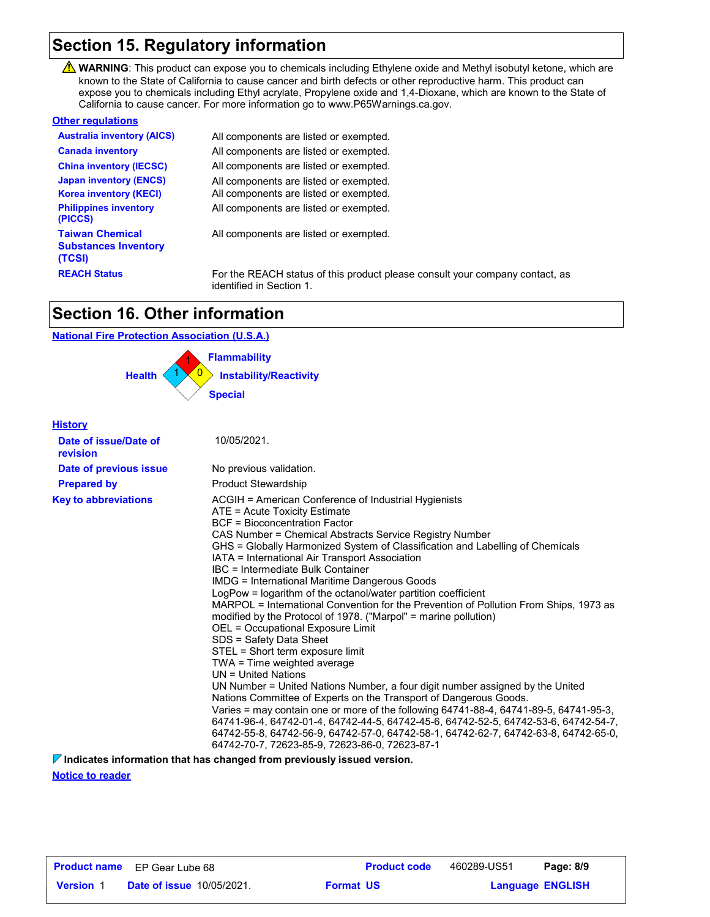## **Section 15. Regulatory information**

WARNING: This product can expose you to chemicals including Ethylene oxide and Methyl isobutyl ketone, which are known to the State of California to cause cancer and birth defects or other reproductive harm. This product can expose you to chemicals including Ethyl acrylate, Propylene oxide and 1,4-Dioxane, which are known to the State of California to cause cancer. For more information go to www.P65Warnings.ca.gov.

#### **Other regulations**

| <b>Australia inventory (AICS)</b>                               | All components are listed or exempted.                                                                   |
|-----------------------------------------------------------------|----------------------------------------------------------------------------------------------------------|
| <b>Canada inventory</b>                                         | All components are listed or exempted.                                                                   |
| <b>China inventory (IECSC)</b>                                  | All components are listed or exempted.                                                                   |
| <b>Japan inventory (ENCS)</b>                                   | All components are listed or exempted.                                                                   |
| <b>Korea inventory (KECI)</b>                                   | All components are listed or exempted.                                                                   |
| <b>Philippines inventory</b><br>(PICCS)                         | All components are listed or exempted.                                                                   |
| <b>Taiwan Chemical</b><br><b>Substances Inventory</b><br>(TCSI) | All components are listed or exempted.                                                                   |
| <b>REACH Status</b>                                             | For the REACH status of this product please consult your company contact, as<br>identified in Section 1. |

### **Section 16. Other information**

#### **National Fire Protection Association (U.S.A.)**



#### **History**

| Date of issue/Date of<br>revision | 10/05/2021.                                                                                                                                                                                                                                                                                                                                                                                                                                                                                                                                                                                                                                                                                                                                                                                                                                                                                                                                                                                                                                                                                                                                                                                                                                                                             |
|-----------------------------------|-----------------------------------------------------------------------------------------------------------------------------------------------------------------------------------------------------------------------------------------------------------------------------------------------------------------------------------------------------------------------------------------------------------------------------------------------------------------------------------------------------------------------------------------------------------------------------------------------------------------------------------------------------------------------------------------------------------------------------------------------------------------------------------------------------------------------------------------------------------------------------------------------------------------------------------------------------------------------------------------------------------------------------------------------------------------------------------------------------------------------------------------------------------------------------------------------------------------------------------------------------------------------------------------|
| Date of previous issue            | No previous validation.                                                                                                                                                                                                                                                                                                                                                                                                                                                                                                                                                                                                                                                                                                                                                                                                                                                                                                                                                                                                                                                                                                                                                                                                                                                                 |
| <b>Prepared by</b>                | <b>Product Stewardship</b>                                                                                                                                                                                                                                                                                                                                                                                                                                                                                                                                                                                                                                                                                                                                                                                                                                                                                                                                                                                                                                                                                                                                                                                                                                                              |
| <b>Key to abbreviations</b>       | ACGIH = American Conference of Industrial Hygienists<br>ATE = Acute Toxicity Estimate<br><b>BCF</b> = Bioconcentration Factor<br>CAS Number = Chemical Abstracts Service Registry Number<br>GHS = Globally Harmonized System of Classification and Labelling of Chemicals<br>IATA = International Air Transport Association<br>IBC = Intermediate Bulk Container<br>IMDG = International Maritime Dangerous Goods<br>LogPow = logarithm of the octanol/water partition coefficient<br>MARPOL = International Convention for the Prevention of Pollution From Ships, 1973 as<br>modified by the Protocol of 1978. ("Marpol" = marine pollution)<br>OEL = Occupational Exposure Limit<br>SDS = Safety Data Sheet<br>STEL = Short term exposure limit<br>TWA = Time weighted average<br>UN = United Nations<br>UN Number = United Nations Number, a four digit number assigned by the United<br>Nations Committee of Experts on the Transport of Dangerous Goods.<br>Varies = may contain one or more of the following 64741-88-4, 64741-89-5, 64741-95-3,<br>64741-96-4, 64742-01-4, 64742-44-5, 64742-45-6, 64742-52-5, 64742-53-6, 64742-54-7,<br>64742-55-8, 64742-56-9, 64742-57-0, 64742-58-1, 64742-62-7, 64742-63-8, 64742-65-0,<br>64742-70-7, 72623-85-9, 72623-86-0, 72623-87-1 |

**Indicates information that has changed from previously issued version.**

**Notice to reader**

|                  | <b>Product name</b> EP Gear Lube 68 | <b>Product code</b> | 460289-US51 | Page: 8/9               |  |
|------------------|-------------------------------------|---------------------|-------------|-------------------------|--|
| <b>Version 1</b> | <b>Date of issue 10/05/2021.</b>    | <b>Format US</b>    |             | <b>Language ENGLISH</b> |  |